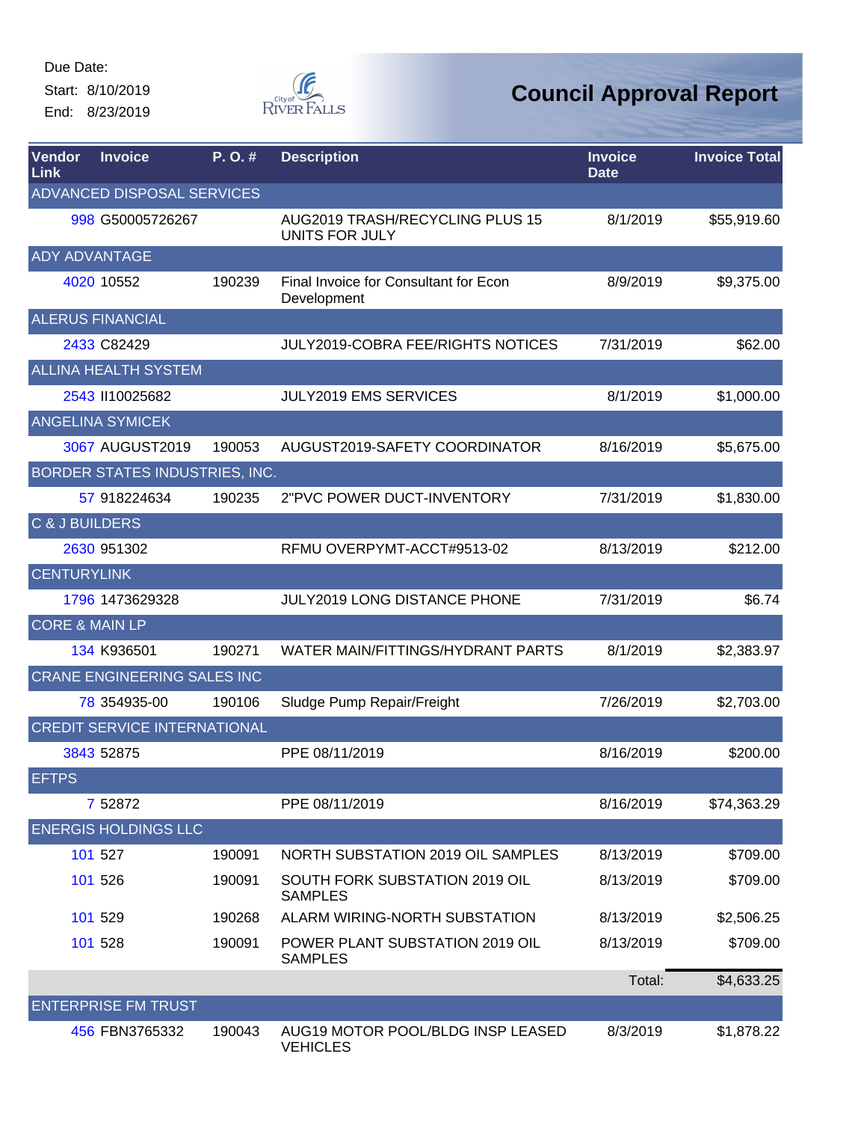Start: 8/10/2019 End: 8/23/2019



| Vendor<br>Link            | <b>Invoice</b>                      | P.O.#  | <b>Description</b>                                   | <b>Invoice</b><br><b>Date</b> | <b>Invoice Total</b> |
|---------------------------|-------------------------------------|--------|------------------------------------------------------|-------------------------------|----------------------|
|                           | ADVANCED DISPOSAL SERVICES          |        |                                                      |                               |                      |
|                           | 998 G50005726267                    |        | AUG2019 TRASH/RECYCLING PLUS 15<br>UNITS FOR JULY    | 8/1/2019                      | \$55,919.60          |
| <b>ADY ADVANTAGE</b>      |                                     |        |                                                      |                               |                      |
|                           | 4020 10552                          | 190239 | Final Invoice for Consultant for Econ<br>Development | 8/9/2019                      | \$9,375.00           |
|                           | <b>ALERUS FINANCIAL</b>             |        |                                                      |                               |                      |
|                           | 2433 C82429                         |        | <b>JULY2019-COBRA FEE/RIGHTS NOTICES</b>             | 7/31/2019                     | \$62.00              |
|                           | <b>ALLINA HEALTH SYSTEM</b>         |        |                                                      |                               |                      |
|                           | 2543 II10025682                     |        | <b>JULY2019 EMS SERVICES</b>                         | 8/1/2019                      | \$1,000.00           |
|                           | <b>ANGELINA SYMICEK</b>             |        |                                                      |                               |                      |
|                           | 3067 AUGUST2019                     | 190053 | AUGUST2019-SAFETY COORDINATOR                        | 8/16/2019                     | \$5,675.00           |
|                           | BORDER STATES INDUSTRIES, INC.      |        |                                                      |                               |                      |
|                           | 57 918224634                        | 190235 | 2"PVC POWER DUCT-INVENTORY                           | 7/31/2019                     | \$1,830.00           |
| <b>C &amp; J BUILDERS</b> |                                     |        |                                                      |                               |                      |
|                           | 2630 951302                         |        | RFMU OVERPYMT-ACCT#9513-02                           | 8/13/2019                     | \$212.00             |
| <b>CENTURYLINK</b>        |                                     |        |                                                      |                               |                      |
|                           | 1796 1473629328                     |        | <b>JULY2019 LONG DISTANCE PHONE</b>                  | 7/31/2019                     | \$6.74               |
| <b>CORE &amp; MAIN LP</b> |                                     |        |                                                      |                               |                      |
|                           | 134 K936501                         | 190271 | WATER MAIN/FITTINGS/HYDRANT PARTS                    | 8/1/2019                      | \$2,383.97           |
|                           | <b>CRANE ENGINEERING SALES INC</b>  |        |                                                      |                               |                      |
|                           | 78 354935-00                        | 190106 | Sludge Pump Repair/Freight                           | 7/26/2019                     | \$2,703.00           |
|                           | <b>CREDIT SERVICE INTERNATIONAL</b> |        |                                                      |                               |                      |
|                           | 3843 52875                          |        | PPE 08/11/2019                                       | 8/16/2019                     | \$200.00             |
| <b>EFTPS</b>              |                                     |        |                                                      |                               |                      |
|                           | 7 52872                             |        | PPE 08/11/2019                                       | 8/16/2019                     | \$74,363.29          |
|                           | <b>ENERGIS HOLDINGS LLC</b>         |        |                                                      |                               |                      |
|                           | 101 527                             | 190091 | NORTH SUBSTATION 2019 OIL SAMPLES                    | 8/13/2019                     | \$709.00             |
|                           | 101 526                             | 190091 | SOUTH FORK SUBSTATION 2019 OIL<br><b>SAMPLES</b>     | 8/13/2019                     | \$709.00             |
|                           | 101 529                             | 190268 | ALARM WIRING-NORTH SUBSTATION                        | 8/13/2019                     | \$2,506.25           |
|                           | 101 528                             | 190091 | POWER PLANT SUBSTATION 2019 OIL<br><b>SAMPLES</b>    | 8/13/2019                     | \$709.00             |
|                           |                                     |        |                                                      | Total:                        | \$4,633.25           |
|                           | <b>ENTERPRISE FM TRUST</b>          |        |                                                      |                               |                      |
|                           | 456 FBN3765332                      | 190043 | AUG19 MOTOR POOL/BLDG INSP LEASED<br><b>VEHICLES</b> | 8/3/2019                      | \$1,878.22           |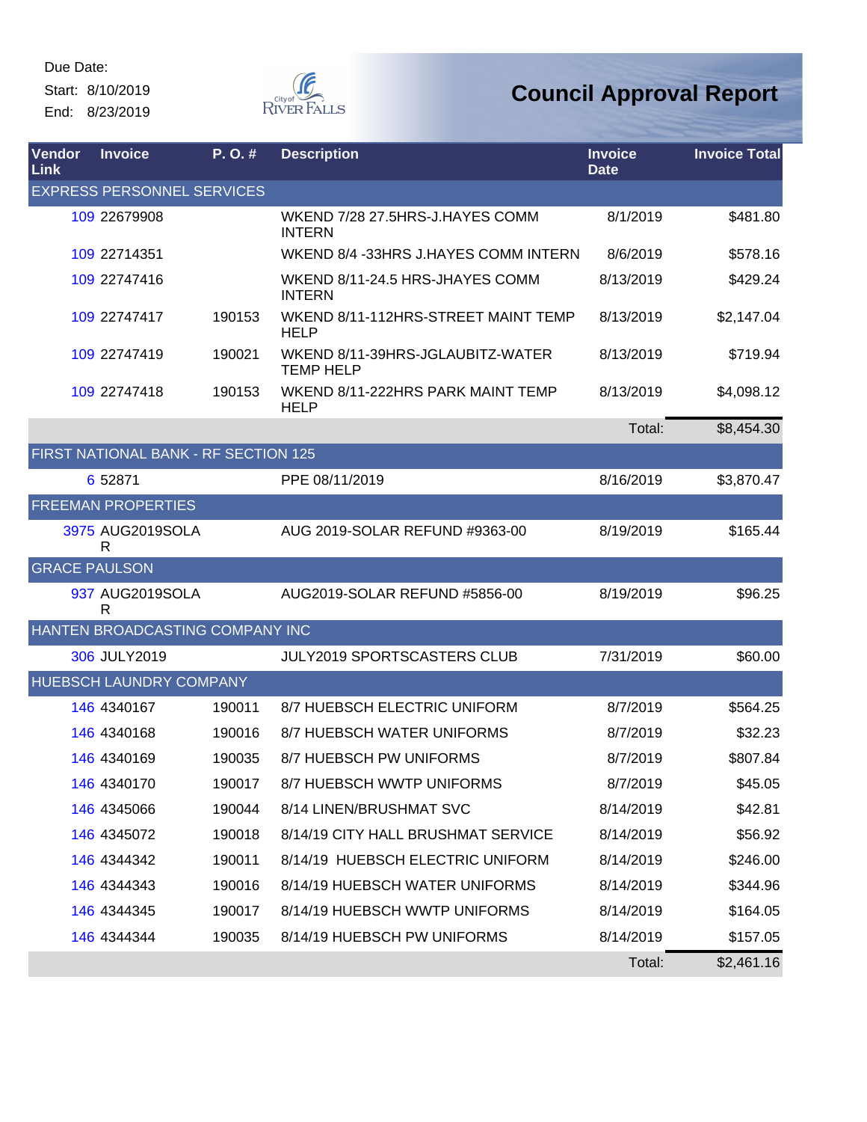Due Date: Start: 8/10/2019

End: 8/23/2019



| Vendor<br>Link       | <b>Invoice</b>                       | P. O. # | <b>Description</b>                                   | <b>Invoice</b><br><b>Date</b> | <b>Invoice Total</b> |
|----------------------|--------------------------------------|---------|------------------------------------------------------|-------------------------------|----------------------|
|                      | <b>EXPRESS PERSONNEL SERVICES</b>    |         |                                                      |                               |                      |
|                      | 109 22679908                         |         | WKEND 7/28 27.5HRS-J.HAYES COMM<br><b>INTERN</b>     | 8/1/2019                      | \$481.80             |
|                      | 109 22714351                         |         | WKEND 8/4 -33HRS J.HAYES COMM INTERN                 | 8/6/2019                      | \$578.16             |
|                      | 109 22747416                         |         | WKEND 8/11-24.5 HRS-JHAYES COMM<br><b>INTERN</b>     | 8/13/2019                     | \$429.24             |
|                      | 109 22747417                         | 190153  | WKEND 8/11-112HRS-STREET MAINT TEMP<br><b>HELP</b>   | 8/13/2019                     | \$2,147.04           |
|                      | 109 22747419                         | 190021  | WKEND 8/11-39HRS-JGLAUBITZ-WATER<br><b>TEMP HELP</b> | 8/13/2019                     | \$719.94             |
|                      | 109 22747418                         | 190153  | WKEND 8/11-222HRS PARK MAINT TEMP<br><b>HELP</b>     | 8/13/2019                     | \$4,098.12           |
|                      |                                      |         |                                                      | Total:                        | \$8,454.30           |
|                      | FIRST NATIONAL BANK - RF SECTION 125 |         |                                                      |                               |                      |
|                      | 6 52871                              |         | PPE 08/11/2019                                       | 8/16/2019                     | \$3,870.47           |
|                      | <b>FREEMAN PROPERTIES</b>            |         |                                                      |                               |                      |
|                      | 3975 AUG2019SOLA<br>R                |         | AUG 2019-SOLAR REFUND #9363-00                       | 8/19/2019                     | \$165.44             |
| <b>GRACE PAULSON</b> |                                      |         |                                                      |                               |                      |
|                      | 937 AUG2019SOLA<br>R                 |         | AUG2019-SOLAR REFUND #5856-00                        | 8/19/2019                     | \$96.25              |
|                      | HANTEN BROADCASTING COMPANY INC      |         |                                                      |                               |                      |
|                      | 306 JULY2019                         |         | <b>JULY2019 SPORTSCASTERS CLUB</b>                   | 7/31/2019                     | \$60.00              |
|                      | <b>HUEBSCH LAUNDRY COMPANY</b>       |         |                                                      |                               |                      |
|                      | 146 4340167                          | 190011  | 8/7 HUEBSCH ELECTRIC UNIFORM                         | 8/7/2019                      | \$564.25             |
|                      | 146 4340168                          | 190016  | <b>8/7 HUEBSCH WATER UNIFORMS</b>                    | 8/7/2019                      | \$32.23              |
|                      | 146 4340169                          | 190035  | 8/7 HUEBSCH PW UNIFORMS                              | 8/7/2019                      | \$807.84             |
|                      | 146 4340170                          | 190017  | 8/7 HUEBSCH WWTP UNIFORMS                            | 8/7/2019                      | \$45.05              |
|                      | 146 4345066                          | 190044  | 8/14 LINEN/BRUSHMAT SVC                              | 8/14/2019                     | \$42.81              |
|                      | 146 4345072                          | 190018  | 8/14/19 CITY HALL BRUSHMAT SERVICE                   | 8/14/2019                     | \$56.92              |
|                      | 146 4344342                          | 190011  | 8/14/19 HUEBSCH ELECTRIC UNIFORM                     | 8/14/2019                     | \$246.00             |
|                      | 146 4344343                          | 190016  | 8/14/19 HUEBSCH WATER UNIFORMS                       | 8/14/2019                     | \$344.96             |
|                      | 146 4344345                          | 190017  | 8/14/19 HUEBSCH WWTP UNIFORMS                        | 8/14/2019                     | \$164.05             |
|                      | 146 4344344                          | 190035  | 8/14/19 HUEBSCH PW UNIFORMS                          | 8/14/2019                     | \$157.05             |
|                      |                                      |         |                                                      | Total:                        | \$2,461.16           |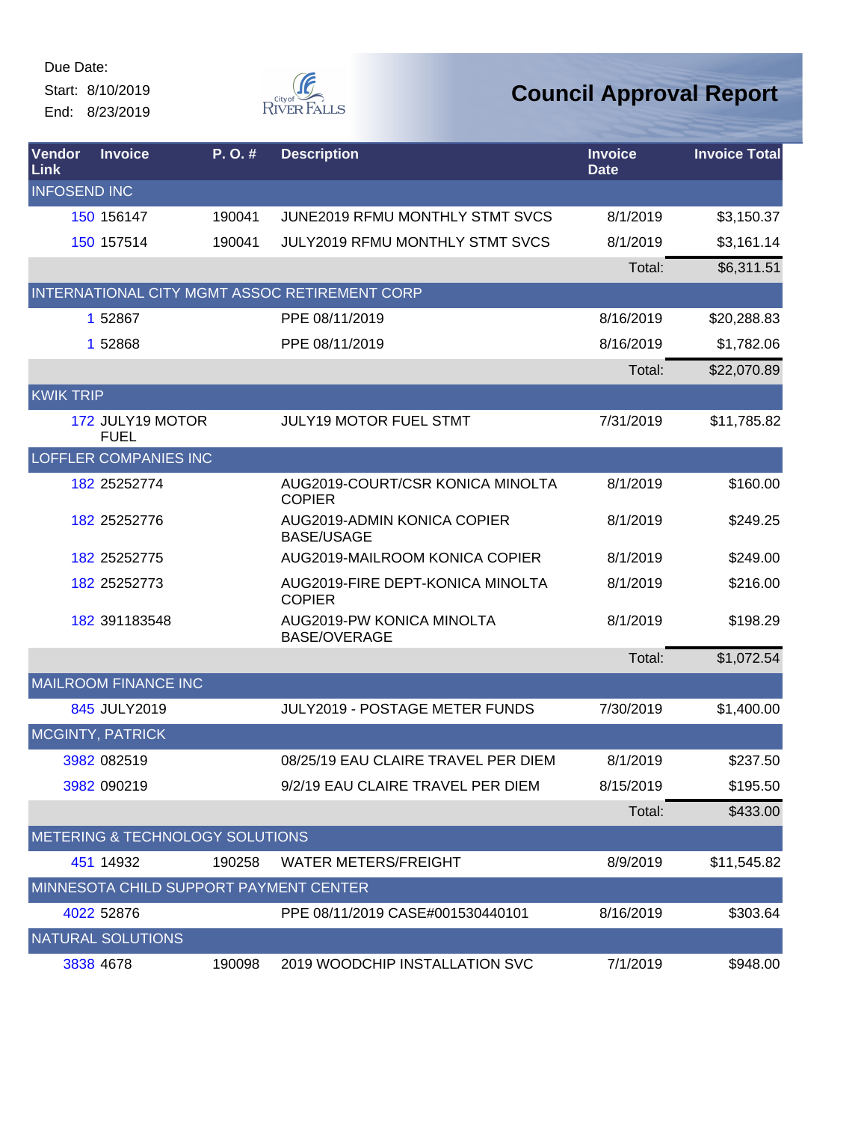Start: 8/10/2019 End: 8/23/2019



| Vendor<br>Link      | <b>Invoice</b>                  | P. O. #                         | <b>Description</b>                                | <b>Invoice</b><br><b>Date</b> | <b>Invoice Total</b> |
|---------------------|---------------------------------|---------------------------------|---------------------------------------------------|-------------------------------|----------------------|
| <b>INFOSEND INC</b> |                                 |                                 |                                                   |                               |                      |
|                     | 150 156147                      | 190041                          | <b>JUNE2019 RFMU MONTHLY STMT SVCS</b>            | 8/1/2019                      | \$3,150.37           |
|                     | 150 157514                      | 190041                          | JULY2019 RFMU MONTHLY STMT SVCS                   | 8/1/2019                      | \$3,161.14           |
|                     |                                 |                                 |                                                   | Total:                        | \$6,311.51           |
|                     |                                 |                                 | INTERNATIONAL CITY MGMT ASSOC RETIREMENT CORP     |                               |                      |
|                     | 1 52867                         |                                 | PPE 08/11/2019                                    | 8/16/2019                     | \$20,288.83          |
|                     | 1 52868                         |                                 | PPE 08/11/2019                                    | 8/16/2019                     | \$1,782.06           |
|                     |                                 |                                 |                                                   | Total:                        | \$22,070.89          |
| <b>KWIK TRIP</b>    |                                 |                                 |                                                   |                               |                      |
|                     | 172 JULY19 MOTOR<br><b>FUEL</b> |                                 | <b>JULY19 MOTOR FUEL STMT</b>                     | 7/31/2019                     | \$11,785.82          |
|                     | <b>LOFFLER COMPANIES INC</b>    |                                 |                                                   |                               |                      |
|                     | 182 25252774                    |                                 | AUG2019-COURT/CSR KONICA MINOLTA<br><b>COPIER</b> | 8/1/2019                      | \$160.00             |
|                     | 182 25252776                    |                                 | AUG2019-ADMIN KONICA COPIER<br><b>BASE/USAGE</b>  | 8/1/2019                      | \$249.25             |
|                     | 182 25252775                    |                                 | AUG2019-MAILROOM KONICA COPIER                    | 8/1/2019                      | \$249.00             |
|                     | 182 25252773                    |                                 | AUG2019-FIRE DEPT-KONICA MINOLTA<br><b>COPIER</b> | 8/1/2019                      | \$216.00             |
|                     | 182 391183548                   |                                 | AUG2019-PW KONICA MINOLTA<br><b>BASE/OVERAGE</b>  | 8/1/2019                      | \$198.29             |
|                     |                                 |                                 |                                                   | Total:                        | \$1,072.54           |
|                     | <b>MAILROOM FINANCE INC</b>     |                                 |                                                   |                               |                      |
|                     | 845 JULY2019                    |                                 | JULY2019 - POSTAGE METER FUNDS                    | 7/30/2019                     | \$1,400.00           |
|                     | <b>MCGINTY, PATRICK</b>         |                                 |                                                   |                               |                      |
|                     | 3982 082519                     |                                 | 08/25/19 EAU CLAIRE TRAVEL PER DIEM               | 8/1/2019                      | \$237.50             |
|                     | 3982 090219                     |                                 | 9/2/19 EAU CLAIRE TRAVEL PER DIEM                 | 8/15/2019                     | \$195.50             |
|                     |                                 |                                 |                                                   | Total:                        | \$433.00             |
|                     |                                 | METERING & TECHNOLOGY SOLUTIONS |                                                   |                               |                      |
|                     | 451 14932                       | 190258                          | <b>WATER METERS/FREIGHT</b>                       | 8/9/2019                      | \$11,545.82          |
|                     |                                 |                                 | MINNESOTA CHILD SUPPORT PAYMENT CENTER            |                               |                      |
|                     | 4022 52876                      |                                 | PPE 08/11/2019 CASE#001530440101                  | 8/16/2019                     | \$303.64             |
|                     | <b>NATURAL SOLUTIONS</b>        |                                 |                                                   |                               |                      |
|                     | 3838 4678                       | 190098                          | 2019 WOODCHIP INSTALLATION SVC                    | 7/1/2019                      | \$948.00             |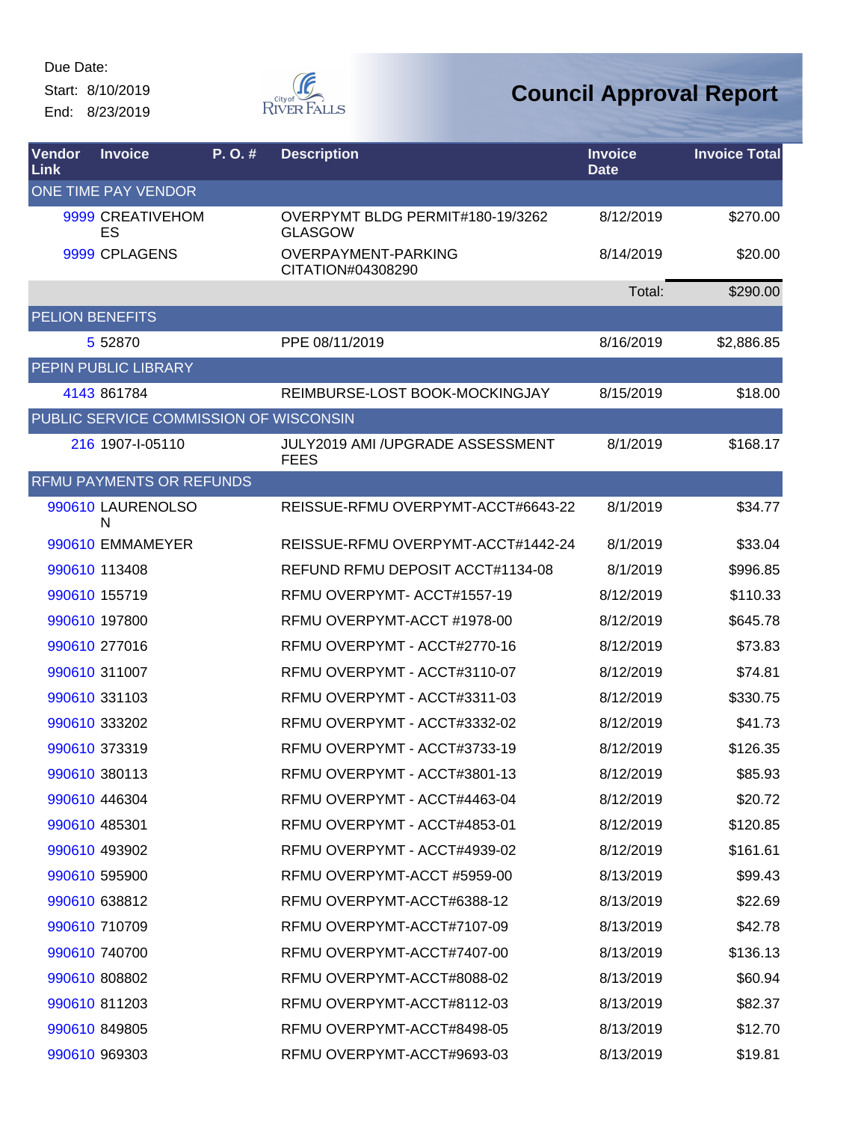Start: 8/10/2019 End: 8/23/2019



| <b>Vendor</b><br><b>Link</b> | <b>Invoice</b>                         | P. O. # | <b>Description</b>                                     | <b>Invoice</b><br><b>Date</b> | <b>Invoice Total</b> |
|------------------------------|----------------------------------------|---------|--------------------------------------------------------|-------------------------------|----------------------|
|                              | ONE TIME PAY VENDOR                    |         |                                                        |                               |                      |
|                              | 9999 CREATIVEHOM<br>ES                 |         | OVERPYMT BLDG PERMIT#180-19/3262<br><b>GLASGOW</b>     | 8/12/2019                     | \$270.00             |
|                              | 9999 CPLAGENS                          |         | OVERPAYMENT-PARKING<br>CITATION#04308290               | 8/14/2019                     | \$20.00              |
|                              |                                        |         |                                                        | Total:                        | \$290.00             |
| <b>PELION BENEFITS</b>       |                                        |         |                                                        |                               |                      |
|                              | 5 5 28 7 0                             |         | PPE 08/11/2019                                         | 8/16/2019                     | \$2,886.85           |
|                              | PEPIN PUBLIC LIBRARY                   |         |                                                        |                               |                      |
|                              | 4143 861784                            |         | REIMBURSE-LOST BOOK-MOCKINGJAY                         | 8/15/2019                     | \$18.00              |
|                              | PUBLIC SERVICE COMMISSION OF WISCONSIN |         |                                                        |                               |                      |
|                              | 216 1907-I-05110                       |         | <b>JULY2019 AMI /UPGRADE ASSESSMENT</b><br><b>FEES</b> | 8/1/2019                      | \$168.17             |
|                              | <b>RFMU PAYMENTS OR REFUNDS</b>        |         |                                                        |                               |                      |
|                              | 990610 LAURENOLSO<br>N                 |         | REISSUE-RFMU OVERPYMT-ACCT#6643-22                     | 8/1/2019                      | \$34.77              |
|                              | 990610 EMMAMEYER                       |         | REISSUE-RFMU OVERPYMT-ACCT#1442-24                     | 8/1/2019                      | \$33.04              |
|                              | 990610 113408                          |         | REFUND RFMU DEPOSIT ACCT#1134-08                       | 8/1/2019                      | \$996.85             |
|                              | 990610 155719                          |         | RFMU OVERPYMT-ACCT#1557-19                             | 8/12/2019                     | \$110.33             |
|                              | 990610 197800                          |         | RFMU OVERPYMT-ACCT #1978-00                            | 8/12/2019                     | \$645.78             |
|                              | 990610 277016                          |         | RFMU OVERPYMT - ACCT#2770-16                           | 8/12/2019                     | \$73.83              |
|                              | 990610 311007                          |         | RFMU OVERPYMT - ACCT#3110-07                           | 8/12/2019                     | \$74.81              |
|                              | 990610 331103                          |         | RFMU OVERPYMT - ACCT#3311-03                           | 8/12/2019                     | \$330.75             |
|                              | 990610 333202                          |         | RFMU OVERPYMT - ACCT#3332-02                           | 8/12/2019                     | \$41.73              |
|                              | 990610 373319                          |         | RFMU OVERPYMT - ACCT#3733-19                           | 8/12/2019                     | \$126.35             |
|                              | 990610 380113                          |         | RFMU OVERPYMT - ACCT#3801-13                           | 8/12/2019                     | \$85.93              |
|                              | 990610 446304                          |         | RFMU OVERPYMT - ACCT#4463-04                           | 8/12/2019                     | \$20.72              |
|                              | 990610 485301                          |         | RFMU OVERPYMT - ACCT#4853-01                           | 8/12/2019                     | \$120.85             |
|                              | 990610 493902                          |         | RFMU OVERPYMT - ACCT#4939-02                           | 8/12/2019                     | \$161.61             |
|                              | 990610 595900                          |         | RFMU OVERPYMT-ACCT #5959-00                            | 8/13/2019                     | \$99.43              |
|                              | 990610 638812                          |         | RFMU OVERPYMT-ACCT#6388-12                             | 8/13/2019                     | \$22.69              |
|                              | 990610 710709                          |         | RFMU OVERPYMT-ACCT#7107-09                             | 8/13/2019                     | \$42.78              |
|                              | 990610 740700                          |         | RFMU OVERPYMT-ACCT#7407-00                             | 8/13/2019                     | \$136.13             |
|                              | 990610 808802                          |         | RFMU OVERPYMT-ACCT#8088-02                             | 8/13/2019                     | \$60.94              |
|                              | 990610 811203                          |         | RFMU OVERPYMT-ACCT#8112-03                             | 8/13/2019                     | \$82.37              |
|                              | 990610 849805                          |         | RFMU OVERPYMT-ACCT#8498-05                             | 8/13/2019                     | \$12.70              |
|                              | 990610 969303                          |         | RFMU OVERPYMT-ACCT#9693-03                             | 8/13/2019                     | \$19.81              |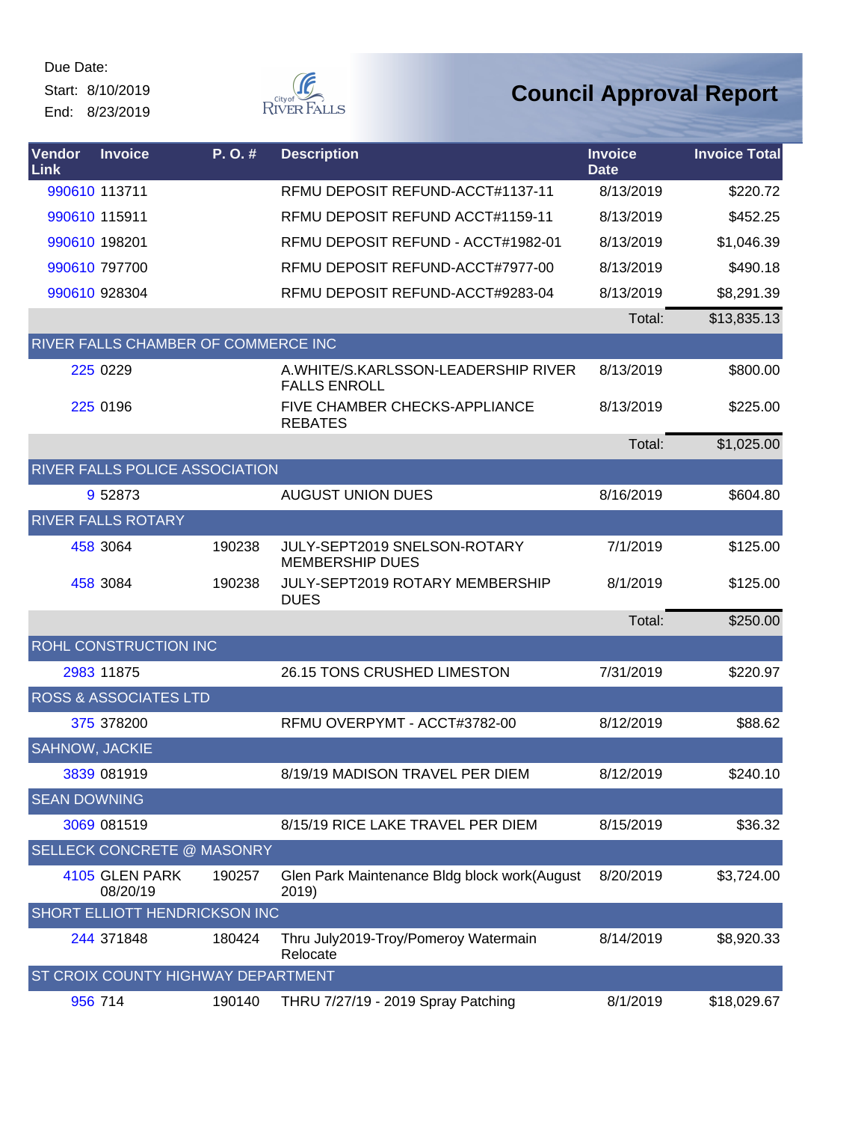Start: 8/10/2019 End: 8/23/2019



| Vendor<br>Link        | <b>Invoice</b>                             | $P. O.$ # | <b>Description</b>                                           | <b>Invoice</b><br><b>Date</b> | <b>Invoice Total</b> |
|-----------------------|--------------------------------------------|-----------|--------------------------------------------------------------|-------------------------------|----------------------|
|                       | 990610 113711                              |           | RFMU DEPOSIT REFUND-ACCT#1137-11                             | 8/13/2019                     | \$220.72             |
|                       | 990610 115911                              |           | RFMU DEPOSIT REFUND ACCT#1159-11                             | 8/13/2019                     | \$452.25             |
|                       | 990610 198201                              |           | RFMU DEPOSIT REFUND - ACCT#1982-01                           | 8/13/2019                     | \$1,046.39           |
|                       | 990610 797700                              |           | RFMU DEPOSIT REFUND-ACCT#7977-00                             | 8/13/2019                     | \$490.18             |
|                       | 990610 928304                              |           | RFMU DEPOSIT REFUND-ACCT#9283-04                             | 8/13/2019                     | \$8,291.39           |
|                       |                                            |           |                                                              | Total:                        | \$13,835.13          |
|                       | <b>RIVER FALLS CHAMBER OF COMMERCE INC</b> |           |                                                              |                               |                      |
|                       | 225 0229                                   |           | A. WHITE/S. KARLSSON-LEADERSHIP RIVER<br><b>FALLS ENROLL</b> | 8/13/2019                     | \$800.00             |
|                       | 225 0196                                   |           | <b>FIVE CHAMBER CHECKS-APPLIANCE</b><br><b>REBATES</b>       | 8/13/2019                     | \$225.00             |
|                       |                                            |           |                                                              | Total:                        | \$1,025.00           |
|                       | RIVER FALLS POLICE ASSOCIATION             |           |                                                              |                               |                      |
|                       | 9 52873                                    |           | <b>AUGUST UNION DUES</b>                                     | 8/16/2019                     | \$604.80             |
|                       | <b>RIVER FALLS ROTARY</b>                  |           |                                                              |                               |                      |
|                       | 458 3064                                   | 190238    | JULY-SEPT2019 SNELSON-ROTARY<br><b>MEMBERSHIP DUES</b>       | 7/1/2019                      | \$125.00             |
|                       | 458 3084                                   | 190238    | JULY-SEPT2019 ROTARY MEMBERSHIP<br><b>DUES</b>               | 8/1/2019                      | \$125.00             |
|                       |                                            |           |                                                              | Total:                        | \$250.00             |
|                       | ROHL CONSTRUCTION INC                      |           |                                                              |                               |                      |
|                       | 2983 11875                                 |           | 26.15 TONS CRUSHED LIMESTON                                  | 7/31/2019                     | \$220.97             |
|                       | <b>ROSS &amp; ASSOCIATES LTD</b>           |           |                                                              |                               |                      |
|                       | 375 378200                                 |           | RFMU OVERPYMT - ACCT#3782-00                                 | 8/12/2019                     | \$88.62              |
| <b>SAHNOW, JACKIE</b> |                                            |           |                                                              |                               |                      |
|                       | 3839 081919                                |           | 8/19/19 MADISON TRAVEL PER DIEM                              | 8/12/2019                     | \$240.10             |
| <b>SEAN DOWNING</b>   |                                            |           |                                                              |                               |                      |
|                       | 3069 081519                                |           | 8/15/19 RICE LAKE TRAVEL PER DIEM                            | 8/15/2019                     | \$36.32              |
|                       | <b>SELLECK CONCRETE @ MASONRY</b>          |           |                                                              |                               |                      |
|                       | 4105 GLEN PARK<br>08/20/19                 | 190257    | Glen Park Maintenance Bldg block work(August<br>2019)        | 8/20/2019                     | \$3,724.00           |
|                       | SHORT ELLIOTT HENDRICKSON INC              |           |                                                              |                               |                      |
|                       | 244 371848                                 | 180424    | Thru July2019-Troy/Pomeroy Watermain<br>Relocate             | 8/14/2019                     | \$8,920.33           |
|                       | ST CROIX COUNTY HIGHWAY DEPARTMENT         |           |                                                              |                               |                      |
|                       | 956 714                                    | 190140    | THRU 7/27/19 - 2019 Spray Patching                           | 8/1/2019                      | \$18,029.67          |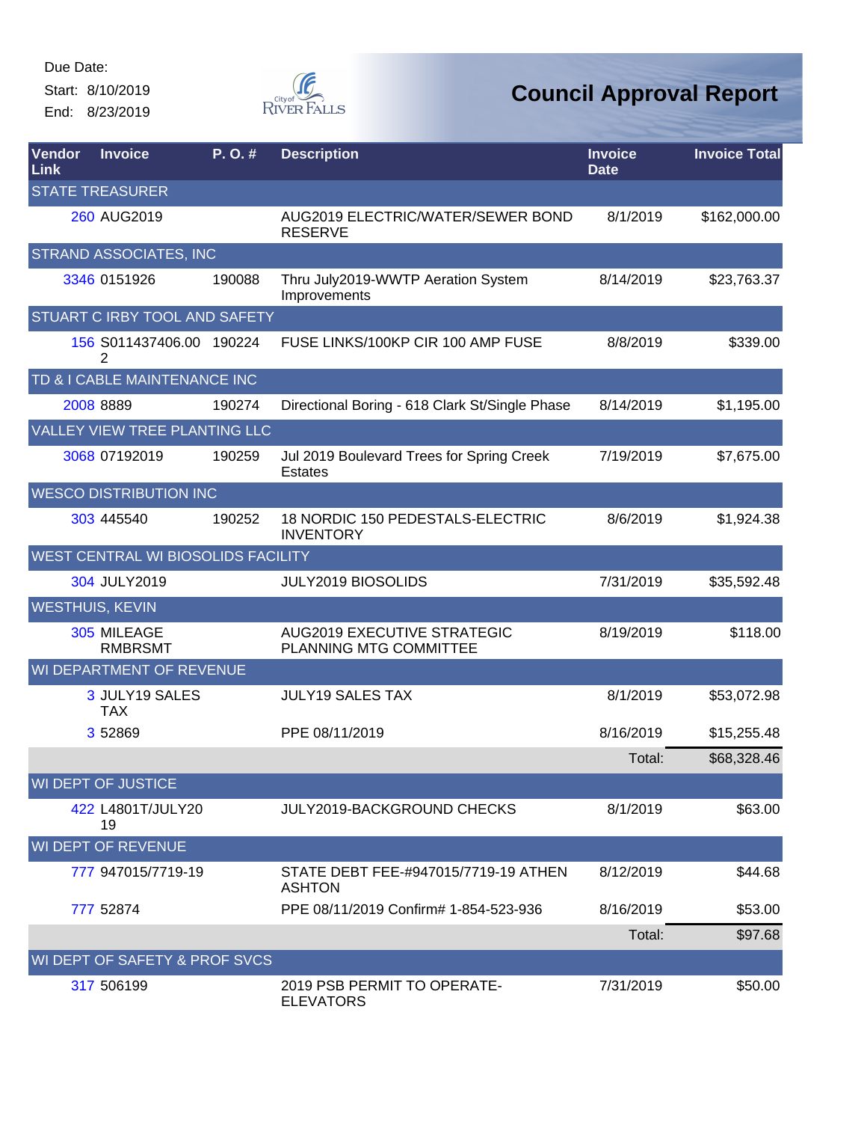Start: 8/10/2019 End: 8/23/2019



| Vendor<br>Link | <b>Invoice</b>                     | P.O.#  | <b>Description</b>                                           | <b>Invoice</b><br><b>Date</b> | <b>Invoice Total</b> |  |  |  |
|----------------|------------------------------------|--------|--------------------------------------------------------------|-------------------------------|----------------------|--|--|--|
|                | <b>STATE TREASURER</b>             |        |                                                              |                               |                      |  |  |  |
|                | 260 AUG2019                        |        | AUG2019 ELECTRIC/WATER/SEWER BOND<br><b>RESERVE</b>          | 8/1/2019                      | \$162,000.00         |  |  |  |
|                | STRAND ASSOCIATES, INC             |        |                                                              |                               |                      |  |  |  |
|                | 3346 0151926                       | 190088 | Thru July2019-WWTP Aeration System<br>Improvements           | 8/14/2019                     | \$23,763.37          |  |  |  |
|                | STUART C IRBY TOOL AND SAFETY      |        |                                                              |                               |                      |  |  |  |
|                | 156 S011437406.00 190224<br>2      |        | FUSE LINKS/100KP CIR 100 AMP FUSE                            | 8/8/2019                      | \$339.00             |  |  |  |
|                | TD & I CABLE MAINTENANCE INC       |        |                                                              |                               |                      |  |  |  |
|                | 2008 8889                          | 190274 | Directional Boring - 618 Clark St/Single Phase               | 8/14/2019                     | \$1,195.00           |  |  |  |
|                | VALLEY VIEW TREE PLANTING LLC      |        |                                                              |                               |                      |  |  |  |
|                | 3068 07192019                      | 190259 | Jul 2019 Boulevard Trees for Spring Creek<br><b>Estates</b>  | 7/19/2019                     | \$7,675.00           |  |  |  |
|                | <b>WESCO DISTRIBUTION INC</b>      |        |                                                              |                               |                      |  |  |  |
|                | 303 445540                         | 190252 | 18 NORDIC 150 PEDESTALS-ELECTRIC<br><b>INVENTORY</b>         | 8/6/2019                      | \$1,924.38           |  |  |  |
|                | WEST CENTRAL WI BIOSOLIDS FACILITY |        |                                                              |                               |                      |  |  |  |
|                | 304 JULY2019                       |        | JULY2019 BIOSOLIDS                                           | 7/31/2019                     | \$35,592.48          |  |  |  |
|                | <b>WESTHUIS, KEVIN</b>             |        |                                                              |                               |                      |  |  |  |
|                | 305 MILEAGE<br><b>RMBRSMT</b>      |        | <b>AUG2019 EXECUTIVE STRATEGIC</b><br>PLANNING MTG COMMITTEE | 8/19/2019                     | \$118.00             |  |  |  |
|                | WI DEPARTMENT OF REVENUE           |        |                                                              |                               |                      |  |  |  |
|                | 3 JULY19 SALES<br><b>TAX</b>       |        | <b>JULY19 SALES TAX</b>                                      | 8/1/2019                      | \$53,072.98          |  |  |  |
|                | 3 52869                            |        | PPE 08/11/2019                                               | 8/16/2019                     | \$15,255.48          |  |  |  |
|                |                                    |        |                                                              | Total:                        | \$68,328.46          |  |  |  |
|                | <b>WI DEPT OF JUSTICE</b>          |        |                                                              |                               |                      |  |  |  |
|                | 422 L4801T/JULY20<br>19            |        | <b>JULY2019-BACKGROUND CHECKS</b>                            | 8/1/2019                      | \$63.00              |  |  |  |
|                | WI DEPT OF REVENUE                 |        |                                                              |                               |                      |  |  |  |
|                | 777 947015/7719-19                 |        | STATE DEBT FEE-#947015/7719-19 ATHEN<br><b>ASHTON</b>        | 8/12/2019                     | \$44.68              |  |  |  |
|                | 777 52874                          |        | PPE 08/11/2019 Confirm# 1-854-523-936                        | 8/16/2019                     | \$53.00              |  |  |  |
|                |                                    |        |                                                              | Total:                        | \$97.68              |  |  |  |
|                | WI DEPT OF SAFETY & PROF SVCS      |        |                                                              |                               |                      |  |  |  |
|                | 317 506199                         |        | 2019 PSB PERMIT TO OPERATE-<br><b>ELEVATORS</b>              | 7/31/2019                     | \$50.00              |  |  |  |